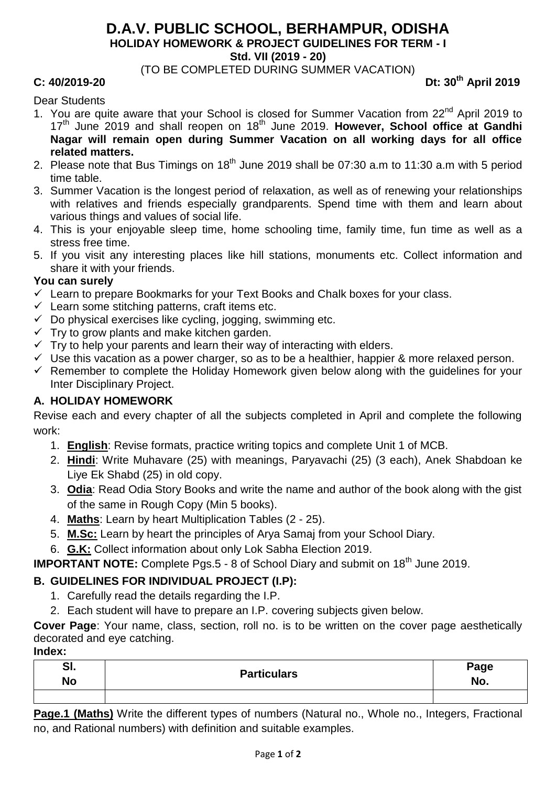### **D.A.V. PUBLIC SCHOOL, BERHAMPUR, ODISHA HOLIDAY HOMEWORK & PROJECT GUIDELINES FOR TERM - I**

**Std. VII (2019 - 20)**

(TO BE COMPLETED DURING SUMMER VACATION)

**C: 40/2019-20 Dt: 30th April 2019**

#### Dear Students

- 1. You are quite aware that your School is closed for Summer Vacation from 22<sup>nd</sup> April 2019 to 17<sup>th</sup> June 2019 and shall reopen on 18<sup>th</sup> June 2019. However, School office at Gandhi **Nagar will remain open during Summer Vacation on all working days for all office related matters.**
- 2. Please note that Bus Timings on  $18<sup>th</sup>$  June 2019 shall be 07:30 a.m to 11:30 a.m with 5 period time table.
- 3. Summer Vacation is the longest period of relaxation, as well as of renewing your relationships with relatives and friends especially grandparents. Spend time with them and learn about various things and values of social life.
- 4. This is your enjoyable sleep time, home schooling time, family time, fun time as well as a stress free time.
- 5. If you visit any interesting places like hill stations, monuments etc. Collect information and share it with your friends.

#### **You can surely**

- $\checkmark$  Learn to prepare Bookmarks for your Text Books and Chalk boxes for your class.
- $\checkmark$  Learn some stitching patterns, craft items etc.
- $\checkmark$  Do physical exercises like cycling, jogging, swimming etc.
- $\checkmark$  Try to grow plants and make kitchen garden.
- $\checkmark$  Try to help your parents and learn their way of interacting with elders.
- $\checkmark$  Use this vacation as a power charger, so as to be a healthier, happier & more relaxed person.
- $\checkmark$  Remember to complete the Holiday Homework given below along with the guidelines for your Inter Disciplinary Project.

### **A. HOLIDAY HOMEWORK**

Revise each and every chapter of all the subjects completed in April and complete the following work:

- 1. **English**: Revise formats, practice writing topics and complete Unit 1 of MCB.
- 2. **Hindi**: Write Muhavare (25) with meanings, Paryavachi (25) (3 each), Anek Shabdoan ke Liye Ek Shabd (25) in old copy.
- 3. **Odia**: Read Odia Story Books and write the name and author of the book along with the gist of the same in Rough Copy (Min 5 books).
- 4. **Maths**: Learn by heart Multiplication Tables (2 25).
- 5. **M.Sc:** Learn by heart the principles of Arya Samaj from your School Diary.
- 6. **G.K:** Collect information about only Lok Sabha Election 2019.

**IMPORTANT NOTE:** Complete Pgs.5 - 8 of School Diary and submit on 18<sup>th</sup> June 2019.

### **B. GUIDELINES FOR INDIVIDUAL PROJECT (I.P):**

- 1. Carefully read the details regarding the I.P.
- 2. Each student will have to prepare an I.P. covering subjects given below.

**Cover Page**: Your name, class, section, roll no. is to be written on the cover page aesthetically decorated and eye catching.

#### **Index:**

| SI.<br><b>No</b> | <b>Particulars</b> | Page<br>No. |
|------------------|--------------------|-------------|
|                  |                    |             |

**Page.1 (Maths)** Write the different types of numbers (Natural no., Whole no., Integers, Fractional no, and Rational numbers) with definition and suitable examples.